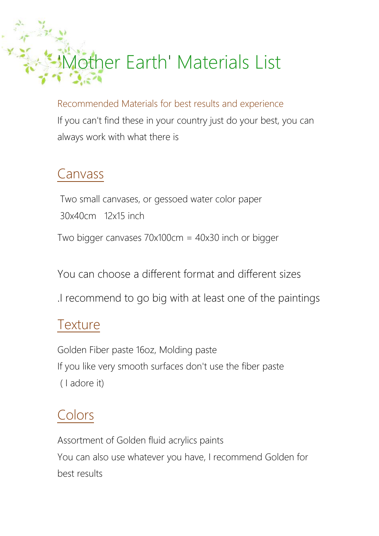# 1other Earth' Materials List

Recommended Materials for best results and experience If you can't find these in your country just do your best, you can always work with what there is

### Canvass

Two small canvases, or gessoed water color paper 30x40cm 12x15 inch Two bigger canvases 70x100cm = 40x30 inch or bigger

You can choose a different format and different sizes

.I recommend to go big with at least one of the paintings

#### **Texture**

Golden Fiber paste 16oz, Molding paste If you like very smooth surfaces don't use the fiber paste ( I adore it)

## Colors

Assortment of Golden fluid acrylics paints You can also use whatever you have, I recommend Golden for best results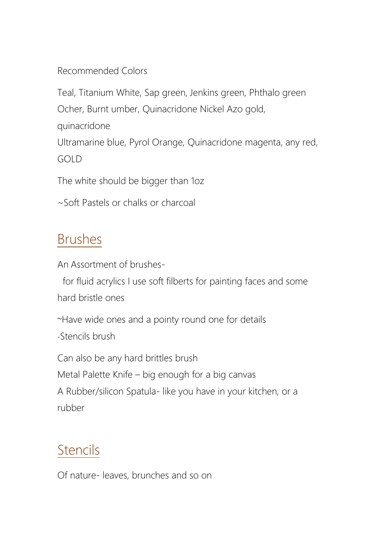Recommended Colors

Teal, Titanium White, Sap green, Jenkins green, Phthalo green Ocher, Burnt umber, Quinacridone Nickel Azo gold, quinacridone Ultramarine blue, Pyrol Orange, Quinacridone magenta, any red, GOLD

The white should be bigger than 1oz

~Soft Pastels or chalks or charcoal

#### Brushes

An Assortment of brushes-

 for fluid acrylics I use soft filberts for painting faces and some hard bristle ones

~Have wide ones and a pointy round one for details -Stencils brush

Can also be any hard brittles brush Metal Palette Knife – big enough for a big canvas A Rubber/silicon Spatula- like you have in your kitchen, or a rubber

# **Stencils**

Of nature- leaves, brunches and so on